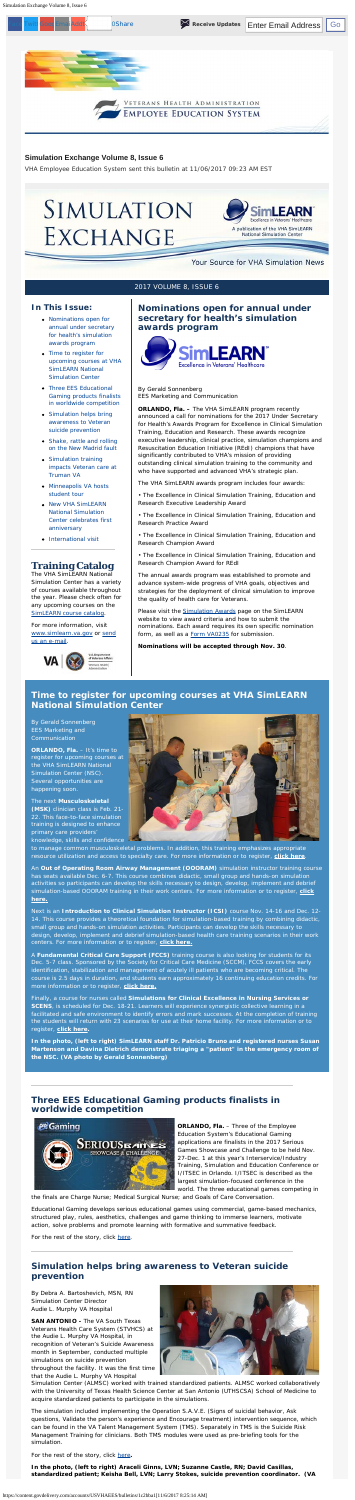<span id="page-0-4"></span>Simulation Exchange Volume 8, Issue 6

#### <span id="page-0-0"></span>**In This Issue:**

- [Nominations open for](#page-0-0) [annual under secretary](#page-0-0) [for health's simulation](#page-0-0) [awards program](#page-0-0)
- [Time to register for](#page-0-1) [upcoming courses at VHA](#page-0-1) [SimLEARN National](#page-0-1) [Simulation Center](#page-0-1)
- [Three EES Educational](#page-0-2) [Gaming products finalists](#page-0-2) [in worldwide competition](#page-0-2)
- [Simulation helps bring](#page-0-3) [awareness to Veteran](#page-0-3) [suicide prevention](#page-0-3)
- [Shake, rattle and rolling](#page-1-0) [on the New Madrid fault](#page-1-0)
- [Simulation training](#page-1-1) [impacts Veteran care at](#page-1-1) [Truman VA](#page-1-1)
- [Minneapolis VA hosts](#page-1-2) [student tour](#page-1-2)
- [New VHA SimLEARN](#page-1-3) [National Simulation](#page-1-3)

#### **Training Catalog**

The VHA SimLEARN National Simulation Center has a variety of courses available throughout the year. Please check often for any upcoming courses on the [SimLEARN course catalog](https://myees.lrn.va.gov/SimLEARN/Class%20Registration/Course%20Catalog.aspx).

- The Excellence in Clinical Simulation Training, Education and Research Executive Leadership Award
- The Excellence in Clinical Simulation Training, Education and
- [Center celebrates first](#page-1-3) [anniversary](#page-1-3)
- [International visit](#page-1-4)

For more information, visit [www.simlearn.va.gov](http://www.simlearn.va.gov/) or [send](mailto:VASimLEARNGeneralInformation@va.gov) [us an e-mail](mailto:VASimLEARNGeneralInformation@va.gov).



#### **Nominations open for annual under secretary for health's simulation awards program**



By Gerald Sonnenberg EES Marketing and Communication

**ORLANDO, Fla. –** The VHA SimLEARN program recently announced a call for nominations for the 2017 Under Secretary for Health's Awards Program for Excellence in Clinical Simulation Training, Education and Research. These awards recognize executive leadership, clinical practice, simulation champions and Resuscitation Education Initiative (REdI) champions that have significantly contributed to VHA's mission of providing outstanding clinical simulation training to the community and who have supported and advanced VHA's strategic plan.

**ORLANDO, Fla. - It's time to** register for upcoming courses at the VHA SimLEARN National Simulation Center (NSC). Several opportunities are happening soon.

The VHA SimLEARN awards program includes four awards:

Research Practice Award

• The Excellence in Clinical Simulation Training, Education and Research Champion Award

• The Excellence in Clinical Simulation Training, Education and Research Champion Award for REdI

The annual awards program was established to promote and advance system-wide progress of VHA goals, objectives and strategies for the deployment of clinical simulation to improve the quality of health care for Veterans.

Please visit the **Simulation Awards** page on the SimLEARN website to view award criteria and how to submit the nominations. Each award requires its own specific nomination form, as well as a **Form VA0235** for submission.

**Nominations will be accepted through Nov. 30**.

#### **Simulation Exchange Volume 8, Issue 6**

*VHA Employee Education System sent this bulletin at 11/06/2017 09:23 AM EST*

# SIMULATION EXCHANGE



#### Your Source for VHA Simulation News

#### 2017 VOLUME 8, ISSUE 6

#### <span id="page-0-1"></span>**Time to register for upcoming courses at VHA SimLEARN National Simulation Center**

By Gerald Sonnenberg **EES Marketing and** Communication

> **ORLANDO, Fla.** - Three of the Employee Education System's Educational Gaming applications are finalists in the 2017 Serious Games Showcase and Challenge to be held Nov. 27-Dec. 1 at this year's Interservice/Industry Training, Simulation and Education Conference or I/ITSEC in Orlando. I/ITSEC is described as the largest simulation-focused conference in the world. The three educational games competing in

The next **Musculoskeletal (MSK)** clinician class is Feb. 21- 22. This face-to-face simulation training is designed to enhance primary care providers' knowledge, skills and confidence



to manage common musculoskeletal problems. In addition, this training emphasizes appropriate resource utilization and access to specialty care. For more information or to register, **[click here](https://www.tms.va.gov/learning/user/deeplink_redirect.jsp?linkId=ITEM_DETAILS&componentID=33865&componentTypeID=VA&revisionDate=1499262300000)**.

An **Out of Operating Room Airway Management (OOORAM)** simulation instructor training course has seats available Dec. 6-7. This course combines didactic, small group and hands-on simulation activities so participants can develop the skills necessary to design, develop, implement and debrief simulation-based OOORAM training in their work centers. For more information or to register, **[click](https://myees.lrn.va.gov/SimLEARN/Class%20Registration/Course%20Categories.aspx?category=OOORAM) [here.](https://myees.lrn.va.gov/SimLEARN/Class%20Registration/Course%20Categories.aspx?category=OOORAM)**

Next is an **Introduction to Clinical Simulation Instructor (ICSI)** course Nov. 14-16 and Dec. 12- 14. This course provides a theoretical foundation for simulation-based training by combining didactic, small group and hands-on simulation activities. Participants can develop the skills necessary to design, develop, implement and debrief simulation-based health care training scenarios in their work centers. For more information or to register, **[click here.](https://www.tms.va.gov/learning/user/deeplink_redirect.jsp?linkId=ITEM_DETAILS&componentID=33861&componentTypeID=VA&revisionDate=1499258160000)**

A **Fundamental Critical Care Support (FCCS)** training course is also looking for students for its Dec. 5-7 class. Sponsored by the Society for Critical Care Medicine (SCCM), FCCS covers the early identification, stabilization and management of acutely ill patients who are becoming critical. The course is 2.5 days in duration, and students earn approximately 16 continuing education credits. For more information or to register, **[click here.](https://www.tms.va.gov/learning/user/deeplink_redirect.jsp?linkId=ITEM_DETAILS&componentID=33859&componentTypeID=VA&revisionDate=1499261880000)**

Finally, a course for nurses called **Simulations for Clinical Excellence in Nursing Services or SCENS**, is scheduled for Dec. 18-21. Learners will experience synergistic collective learning in a facilitated and safe environment to identify errors and mark successes. At the completion of training the students will return with 23 scenarios for use at their home facility. For more information or to register, **click [here.](https://www.tms.va.gov/learning/user/deeplink_redirect.jsp?linkId=ITEM_DETAILS&componentID=33965&componentTypeID=VA&revisionDate=1500552060000)**

**In the photo, (left to right) SimLEARN staff Dr. Patricio Bruno and registered nurses Susan Martenson and Davina Dietrich demonstrate triaging a "patient" in the emergency room of the NSC. (VA photo by Gerald Sonnenberg)** 

#### **Three EES Educational Gaming products finalists in worldwide competition**

<span id="page-0-2"></span>

the finals are Charge Nurse; Medical Surgical Nurse; and Goals of Care Conversation.

Educational Gaming develops serious educational games using commercial, game-based mechanics, structured play, rules, aesthetics, challenges and game thinking to immerse learners, motivate action, solve problems and promote learning with formative and summative feedback.

For the rest of the story, click [here](https://www.simlearn.va.gov/SIMLEARN/FA_2017_22_Three_EES_Educational_Gaming_products_finalists_in_worldwide_competition.asp).

#### <span id="page-0-3"></span>**Simulation helps bring awareness to Veteran suicide prevention**

By Debra A. Bartoshevich, MSN, RN Simulation Center Director Audie L. Murphy VA Hospital

**SAN ANTONIO -** The VA South Texas Veterans Health Care System (STVHCS) at the Audie L. Murphy VA Hospital, in recognition of Veteran's Suicide Awareness month in September, conducted multiple simulations on suicide prevention throughout the facility. It was the first time that the Audie L. Murphy VA Hospital



Simulation Center (ALMSC) worked with trained standardized patients. ALMSC worked collaboratively with the University of Texas Health Science Center at San Antonio (UTHSCSA) School of Medicine to acquire standardized patients to participate in the simulations.

The simulation included implementing the Operation S.A.V.E. (Signs of suicidal behavior, Ask questions, Validate the person's experience and Encourage treatment) intervention sequence, which can be found in the VA Talent Management System (TMS). Separately in TMS is the Suicide Risk Management Training for clinicians. Both TMS modules were used as pre-briefing tools for the simulation.

For the rest of the story, click [here](https://www.simlearn.va.gov/SIMLEARN/FA_2017_23_Simulation_helps_bring_awareness_to_Veteran_suicide_prevention.asp)**.**

**In the photo, (left to right) Araceli Ginns, LVN; Suzanne Castle, RN; David Casillas, standardized patient; Keisha Bell, LVN; Larry Stokes, suicide prevention coordinator. (VA**